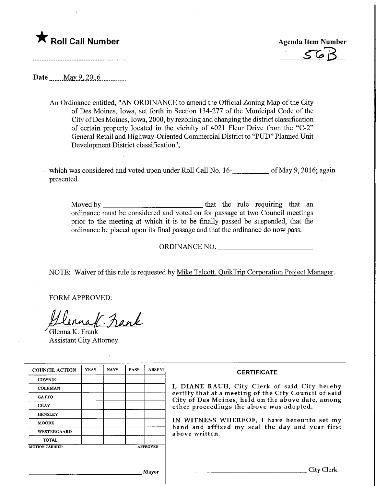

Date <u>May 9, 2016</u>

An Ordinance entitled, "AN ORDINANCE to amend the Official Zoning Map of the City of Des Moines, Iowa, set forth in Section 134-277 of the Municipal Code of the City of Des Moines, Iowa, 2000, by rezoning and changing the district classification of certain property located in the vicinity of 4021 Fleur Drive from the "C-2" General Retail and Highway-Oriented Commercial District to "PUD" Planned Unit Development District classification",

which was considered and voted upon under Roll Call No. 16-<br>
<u>Letting</u> of May 9, 2016; again presented.

Moved by that the rule requiring that an ordinance must be considered and voted on for passage at two Council meetings prior to the meeting at which it is to be finally passed be suspended, that the ordinance be placed upon its final passage and that the ordinance do now pass.

ORDINANCE NO.

NOTE: Waiver of this rule is requested by Mike Talcott, QuikTrip Corporation Project Manager.

FORM APPROVED:

ennak. Fank

Glenna K. Frank Assistant City Attorney

| <b>COUNCIL ACTION</b> | <b>YEAS</b> | <b>NAYS</b> | <b>PASS</b> | <b>ABSENT</b>                                                     | <b>CERTIFICATE</b>                                                                                                                                                                                      |
|-----------------------|-------------|-------------|-------------|-------------------------------------------------------------------|---------------------------------------------------------------------------------------------------------------------------------------------------------------------------------------------------------|
| <b>COWNIE</b>         |             |             |             |                                                                   |                                                                                                                                                                                                         |
| <b>COLEMAN</b>        |             |             |             |                                                                   | I, DIANE RAUH, City Clerk of said City hereby<br>certify that at a meeting of the City Council of said<br>City of Des Moines, held on the above date, among<br>other proceedings the above was adopted. |
| <b>GATTO</b>          |             |             |             |                                                                   |                                                                                                                                                                                                         |
| <b>GRAY</b>           |             |             |             |                                                                   |                                                                                                                                                                                                         |
| <b>HENSLEY</b>        |             |             |             |                                                                   |                                                                                                                                                                                                         |
| <b>MOORE</b>          |             |             |             |                                                                   | IN WITNESS WHEREOF, I have hereunto set my                                                                                                                                                              |
| WESTERGAARD           |             |             |             | hand and affixed my seal the day and year first<br>above written. |                                                                                                                                                                                                         |
| <b>TOTAL</b>          |             |             |             |                                                                   |                                                                                                                                                                                                         |
| <b>MOTION CARRIED</b> |             |             |             | <b>APPROVED</b>                                                   |                                                                                                                                                                                                         |
|                       |             |             |             |                                                                   |                                                                                                                                                                                                         |
|                       |             |             |             | <b>Mayor</b>                                                      | City Clerk                                                                                                                                                                                              |